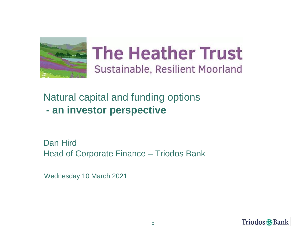

# **The Heather Trust** Sustainable, Resilient Moorland

Natural capital and funding options **- an investor perspective**

Dan Hird Head of Corporate Finance – Triodos Bank

Wednesday 10 March 2021

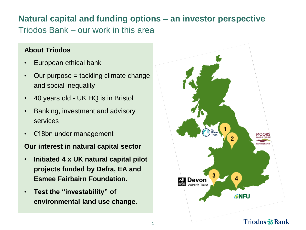# **Natural capital and funding options – an investor perspective**

Triodos Bank – our work in this area

#### **About Triodos**

- European ethical bank
- Our purpose = tackling climate change and social inequality
- 40 years old UK HQ is in Bristol
- Banking, investment and advisory services
- $\epsilon$ 18bn under management

#### **Our interest in natural capital sector**

- **Initiated 4 x UK natural capital pilot projects funded by Defra, EA and Esmee Fairbairn Foundation.**
- **Test the "investability" of environmental land use change.**

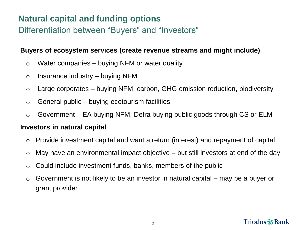#### **Buyers of ecosystem services (create revenue streams and might include)**

- $\circ$  Water companies buying NFM or water quality
- $\circ$  Insurance industry buying NFM
- $\circ$  Large corporates buying NFM, carbon, GHG emission reduction, biodiversity
- $\circ$  General public buying ecotourism facilities
- o Government EA buying NFM, Defra buying public goods through CS or ELM

#### **Investors in natural capital**

- o Provide investment capital and want a return (interest) and repayment of capital
- $\circ$  May have an environmental impact objective but still investors at end of the day
- $\circ$  Could include investment funds, banks, members of the public
- $\circ$  Government is not likely to be an investor in natural capital may be a buyer or grant provider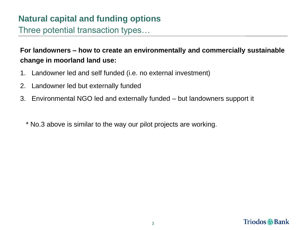Three potential transaction types…

### **For landowners – how to create an environmentally and commercially sustainable change in moorland land use:**

- 1. Landowner led and self funded (i.e. no external investment)
- 2. Landowner led but externally funded
- 3. Environmental NGO led and externally funded but landowners support it
	- \* No.3 above is similar to the way our pilot projects are working.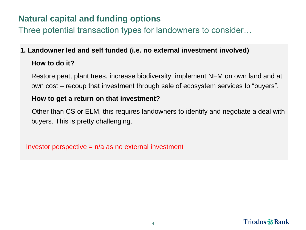Three potential transaction types for landowners to consider…

# **1. Landowner led and self funded (i.e. no external investment involved) How to do it?**

Restore peat, plant trees, increase biodiversity, implement NFM on own land and at own cost – recoup that investment through sale of ecosystem services to "buyers".

#### **How to get a return on that investment?**

Other than CS or ELM, this requires landowners to identify and negotiate a deal with buyers. This is pretty challenging.

Investor perspective  $= n/a$  as no external investment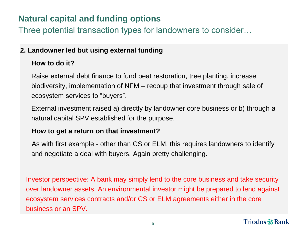Three potential transaction types for landowners to consider…

#### **2. Landowner led but using external funding**

#### **How to do it?**

Raise external debt finance to fund peat restoration, tree planting, increase biodiversity, implementation of NFM – recoup that investment through sale of ecosystem services to "buyers".

External investment raised a) directly by landowner core business or b) through a natural capital SPV established for the purpose.

#### **How to get a return on that investment?**

As with first example - other than CS or ELM, this requires landowners to identify and negotiate a deal with buyers. Again pretty challenging.

Investor perspective: A bank may simply lend to the core business and take security over landowner assets. An environmental investor might be prepared to lend against ecosystem services contracts and/or CS or ELM agreements either in the core business or an SPV.

### Triodos @Bank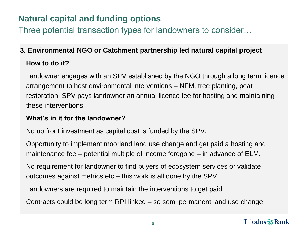Three potential transaction types for landowners to consider…

### **3. Environmental NGO or Catchment partnership led natural capital project How to do it?**

Landowner engages with an SPV established by the NGO through a long term licence arrangement to host environmental interventions – NFM, tree planting, peat restoration. SPV pays landowner an annual licence fee for hosting and maintaining these interventions.

#### **What's in it for the landowner?**

No up front investment as capital cost is funded by the SPV.

Opportunity to implement moorland land use change and get paid a hosting and maintenance fee – potential multiple of income foregone – in advance of ELM.

No requirement for landowner to find buyers of ecosystem services or validate outcomes against metrics etc – this work is all done by the SPV.

Landowners are required to maintain the interventions to get paid.

Contracts could be long term RPI linked – so semi permanent land use change